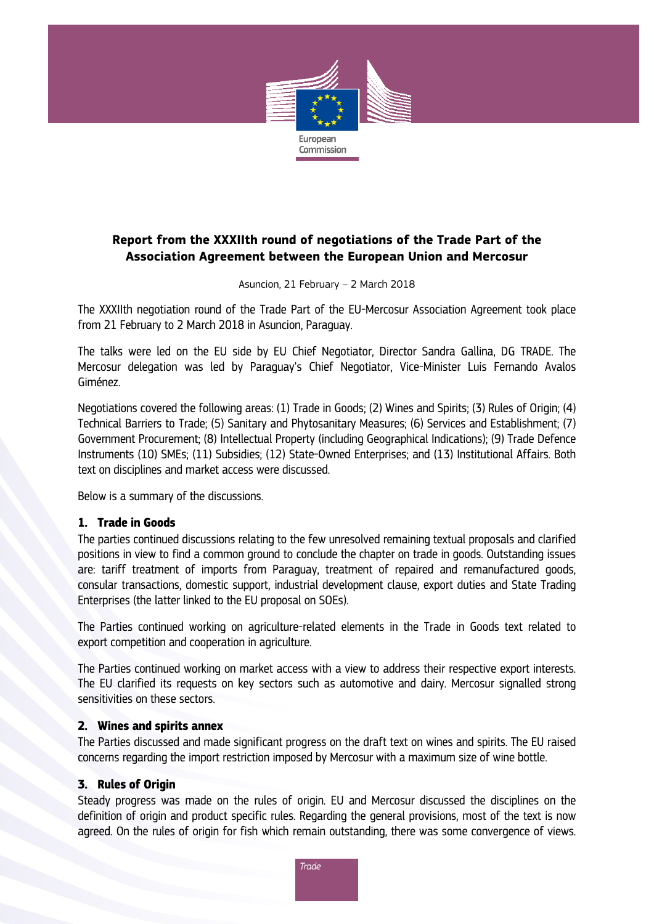

# **Report from the XXXIIth round of negotiations of the Trade Part of the Association Agreement between the European Union and Mercosur**

Asuncion, 21 February – 2 March 2018

The XXXIIth negotiation round of the Trade Part of the EU-Mercosur Association Agreement took place from 21 February to 2 March 2018 in Asuncion, Paraguay.

The talks were led on the EU side by EU Chief Negotiator, Director Sandra Gallina, DG TRADE. The Mercosur delegation was led by Paraguay's Chief Negotiator, Vice-Minister Luis Fernando Avalos Giménez.

Negotiations covered the following areas: (1) Trade in Goods; (2) Wines and Spirits; (3) Rules of Origin; (4) Technical Barriers to Trade; (5) Sanitary and Phytosanitary Measures; (6) Services and Establishment; (7) Government Procurement; (8) Intellectual Property (including Geographical Indications); (9) Trade Defence Instruments (10) SMEs; (11) Subsidies; (12) State-Owned Enterprises; and (13) Institutional Affairs. Both text on disciplines and market access were discussed.

Below is a summary of the discussions.

#### **1. Trade in Goods**

The parties continued discussions relating to the few unresolved remaining textual proposals and clarified positions in view to find a common ground to conclude the chapter on trade in goods. Outstanding issues are: tariff treatment of imports from Paraguay, treatment of repaired and remanufactured goods, consular transactions, domestic support, industrial development clause, export duties and State Trading Enterprises (the latter linked to the EU proposal on SOEs).

The Parties continued working on agriculture-related elements in the Trade in Goods text related to export competition and cooperation in agriculture.

The Parties continued working on market access with a view to address their respective export interests. The EU clarified its requests on key sectors such as automotive and dairy. Mercosur signalled strong sensitivities on these sectors.

#### **2. Wines and spirits annex**

The Parties discussed and made significant progress on the draft text on wines and spirits. The EU raised concerns regarding the import restriction imposed by Mercosur with a maximum size of wine bottle.

#### **3. Rules of Origin**

Steady progress was made on the rules of origin. EU and Mercosur discussed the disciplines on the definition of origin and product specific rules. Regarding the general provisions, most of the text is now agreed. On the rules of origin for fish which remain outstanding, there was some convergence of views.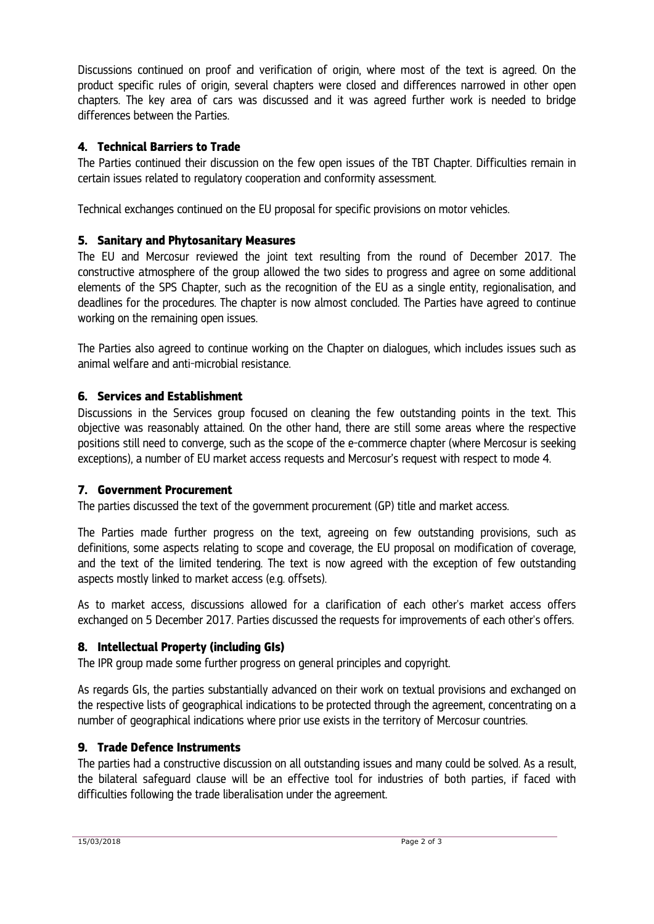Discussions continued on proof and verification of origin, where most of the text is agreed. On the product specific rules of origin, several chapters were closed and differences narrowed in other open chapters. The key area of cars was discussed and it was agreed further work is needed to bridge differences between the Parties.

## **4. Technical Barriers to Trade**

The Parties continued their discussion on the few open issues of the TBT Chapter. Difficulties remain in certain issues related to regulatory cooperation and conformity assessment.

Technical exchanges continued on the EU proposal for specific provisions on motor vehicles.

## **5. Sanitary and Phytosanitary Measures**

The EU and Mercosur reviewed the joint text resulting from the round of December 2017. The constructive atmosphere of the group allowed the two sides to progress and agree on some additional elements of the SPS Chapter, such as the recognition of the EU as a single entity, regionalisation, and deadlines for the procedures. The chapter is now almost concluded. The Parties have agreed to continue working on the remaining open issues.

The Parties also agreed to continue working on the Chapter on dialogues, which includes issues such as animal welfare and anti-microbial resistance.

## **6. Services and Establishment**

Discussions in the Services group focused on cleaning the few outstanding points in the text. This objective was reasonably attained. On the other hand, there are still some areas where the respective positions still need to converge, such as the scope of the e-commerce chapter (where Mercosur is seeking exceptions), a number of EU market access requests and Mercosur's request with respect to mode 4.

## **7. Government Procurement**

The parties discussed the text of the government procurement (GP) title and market access.

The Parties made further progress on the text, agreeing on few outstanding provisions, such as definitions, some aspects relating to scope and coverage, the EU proposal on modification of coverage, and the text of the limited tendering. The text is now agreed with the exception of few outstanding aspects mostly linked to market access (e.g. offsets).

As to market access, discussions allowed for a clarification of each other's market access offers exchanged on 5 December 2017. Parties discussed the requests for improvements of each other's offers.

## **8. Intellectual Property (including GIs)**

The IPR group made some further progress on general principles and copyright.

As regards GIs, the parties substantially advanced on their work on textual provisions and exchanged on the respective lists of geographical indications to be protected through the agreement, concentrating on a number of geographical indications where prior use exists in the territory of Mercosur countries.

## **9. Trade Defence Instruments**

The parties had a constructive discussion on all outstanding issues and many could be solved. As a result, the bilateral safeguard clause will be an effective tool for industries of both parties, if faced with difficulties following the trade liberalisation under the agreement.